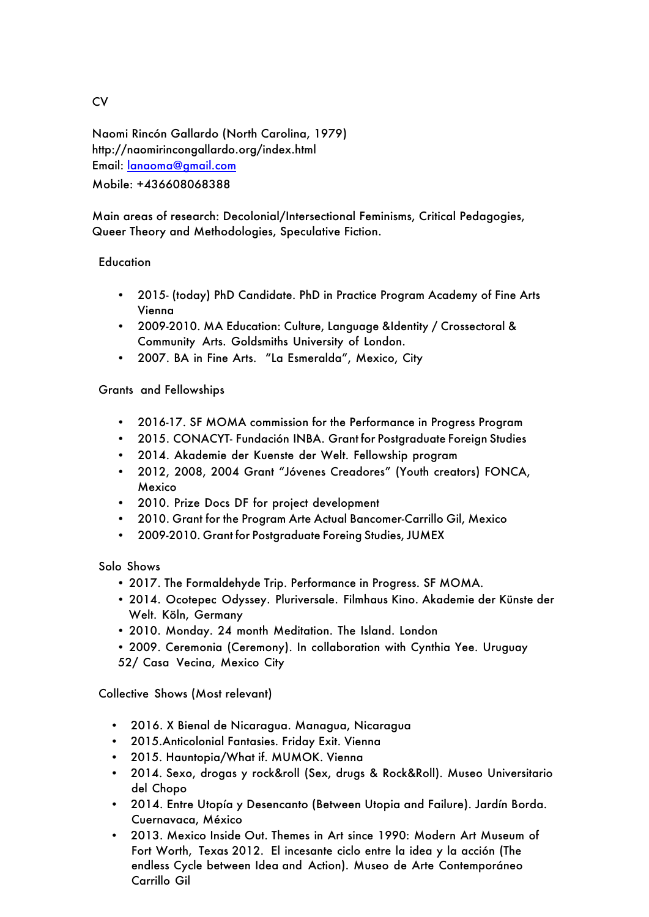Naomi Rincón Gallardo (North Carolina, 1979) http://naomirincongallardo.org/index.html Email: lanaoma@gmail.com Mobile: +436608068388

Main areas of research: Decolonial/Intersectional Feminisms, Critical Pedagogies, Queer Theory and Methodologies, Speculative Fiction.

## **Education**

- 2015- (today) PhD Candidate. PhD in Practice Program Academy of Fine Arts Vienna
- 2009-2010. MA Education: Culture, Language &Identity / Crossectoral & Community Arts. Goldsmiths University of London.
- 2007. BA in Fine Arts. "La Esmeralda", Mexico, City

Grants and Fellowships

- 2016-17. SF MOMA commission for the Performance in Progress Program
- 2015. CONACYT- Fundación INBA. Grant for Postgraduate Foreign Studies
- 2014. Akademie der Kuenste der Welt. Fellowship program
- 2012, 2008, 2004 Grant "Jóvenes Creadores" (Youth creators) FONCA, Mexico
- 2010. Prize Docs DF for project development
- 2010. Grant for the Program Arte Actual Bancomer-Carrillo Gil, Mexico
- 2009-2010. Grant for Postgraduate Foreing Studies, JUMEX

Solo Shows

- 2017. The Formaldehyde Trip. Performance in Progress. SF MOMA.
- 2014. Ocotepec Odyssey. Pluriversale. Filmhaus Kino. Akademie der Künste der Welt. Köln, Germany
- 2010. Monday. 24 month Meditation. The Island. London
- 2009. Ceremonia (Ceremony). In collaboration with Cynthia Yee. Uruguay 52/ Casa Vecina, Mexico City

Collective Shows (Most relevant)

- 2016. X Bienal de Nicaragua. Managua, Nicaragua
- 2015.Anticolonial Fantasies. Friday Exit. Vienna
- 2015. Hauntopia/What if. MUMOK. Vienna
- 2014. Sexo, drogas y rock&roll (Sex, drugs & Rock&Roll). Museo Universitario del Chopo
- 2014. Entre Utopía y Desencanto (Between Utopia and Failure). Jardín Borda. Cuernavaca, México
- 2013. Mexico Inside Out. Themes in Art since 1990: Modern Art Museum of Fort Worth, Texas 2012. El incesante ciclo entre la idea y la acción (The endless Cycle between Idea and Action). Museo de Arte Contemporáneo Carrillo Gil

**CV**